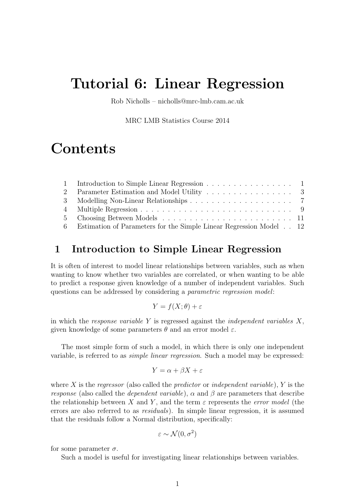# Tutorial 6: Linear Regression

Rob Nicholls – nicholls@mrc-lmb.cam.ac.uk

MRC LMB Statistics Course 2014

# **Contents**

| 1 Introduction to Simple Linear Regression 1                         |  |
|----------------------------------------------------------------------|--|
|                                                                      |  |
|                                                                      |  |
|                                                                      |  |
|                                                                      |  |
| 6 Estimation of Parameters for the Simple Linear Regression Model 12 |  |

### 1 Introduction to Simple Linear Regression

It is often of interest to model linear relationships between variables, such as when wanting to know whether two variables are correlated, or when wanting to be able to predict a response given knowledge of a number of independent variables. Such questions can be addressed by considering a parametric regression model:

$$
Y = f(X; \theta) + \varepsilon
$$

in which the response variable Y is regressed against the *independent variables*  $X$ , given knowledge of some parameters  $\theta$  and an error model  $\varepsilon$ .

The most simple form of such a model, in which there is only one independent variable, is referred to as simple linear regression. Such a model may be expressed:

$$
Y = \alpha + \beta X + \varepsilon
$$

where X is the regressor (also called the predictor or independent variable), Y is the *response* (also called the *dependent variable*),  $\alpha$  and  $\beta$  are parameters that describe the relationship between X and Y, and the term  $\varepsilon$  represents the *error model* (the errors are also referred to as residuals). In simple linear regression, it is assumed that the residuals follow a Normal distribution, specifically:

$$
\varepsilon \sim \mathcal{N}(0, \sigma^2)
$$

for some parameter  $\sigma$ .

Such a model is useful for investigating linear relationships between variables.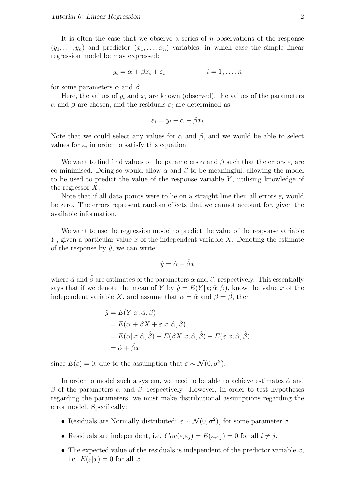It is often the case that we observe a series of  $n$  observations of the response  $(y_1, \ldots, y_n)$  and predictor  $(x_1, \ldots, x_n)$  variables, in which case the simple linear regression model be may expressed:

$$
y_i = \alpha + \beta x_i + \varepsilon_i \qquad \qquad i = 1, \dots, n
$$

for some parameters  $\alpha$  and  $\beta$ .

Here, the values of  $y_i$  and  $x_i$  are known (observed), the values of the parameters  $\alpha$  and  $\beta$  are chosen, and the residuals  $\varepsilon_i$  are determined as:

$$
\varepsilon_i = y_i - \alpha - \beta x_i
$$

Note that we could select any values for  $\alpha$  and  $\beta$ , and we would be able to select values for  $\varepsilon_i$  in order to satisfy this equation.

We want to find find values of the parameters  $\alpha$  and  $\beta$  such that the errors  $\varepsilon_i$  are co-minimised. Doing so would allow  $\alpha$  and  $\beta$  to be meaningful, allowing the model to be used to predict the value of the response variable  $Y$ , utilising knowledge of the regressor  $X$ .

Note that if all data points were to lie on a straight line then all errors  $\varepsilon_i$  would be zero. The errors represent random effects that we cannot account for, given the available information.

We want to use the regression model to predict the value of the response variable  $Y$ , given a particular value x of the independent variable  $X$ . Denoting the estimate of the response by  $\hat{y}$ , we can write:

$$
\hat{y} = \hat{\alpha} + \hat{\beta}x
$$

where  $\hat{\alpha}$  and  $\hat{\beta}$  are estimates of the parameters  $\alpha$  and  $\beta$ , respectively. This essentially says that if we denote the mean of Y by  $\hat{y} = E(Y|x; \hat{\alpha}, \hat{\beta})$ , know the value x of the independent variable X, and assume that  $\alpha = \hat{\alpha}$  and  $\beta = \hat{\beta}$ , then:

$$
\hat{y} = E(Y|x; \hat{\alpha}, \hat{\beta})
$$
  
=  $E(\alpha + \beta X + \varepsilon | x; \hat{\alpha}, \hat{\beta})$   
=  $E(\alpha | x; \hat{\alpha}, \hat{\beta}) + E(\beta X | x; \hat{\alpha}, \hat{\beta}) + E(\varepsilon | x; \hat{\alpha}, \hat{\beta})$   
=  $\hat{\alpha} + \hat{\beta} x$ 

since  $E(\varepsilon) = 0$ , due to the assumption that  $\varepsilon \sim \mathcal{N}(0, \sigma^2)$ .

In order to model such a system, we need to be able to achieve estimates  $\hat{\alpha}$  and β of the parameters  $\alpha$  and β, respectively. However, in order to test hypotheses regarding the parameters, we must make distributional assumptions regarding the error model. Specifically:

- Residuals are Normally distributed:  $\varepsilon \sim \mathcal{N}(0, \sigma^2)$ , for some parameter  $\sigma$ .
- Residuals are independent, i.e.  $Cov(\varepsilon_i \varepsilon_j) = E(\varepsilon_i \varepsilon_j) = 0$  for all  $i \neq j$ .
- The expected value of the residuals is independent of the predictor variable  $x$ , i.e.  $E(\varepsilon|x) = 0$  for all x.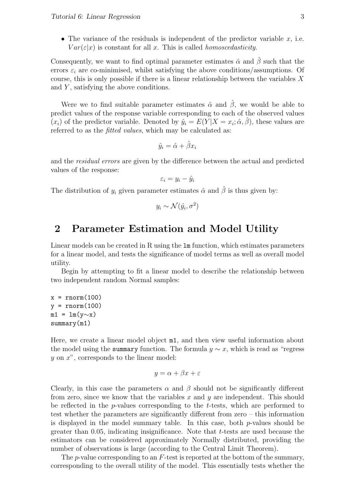• The variance of the residuals is independent of the predictor variable  $x$ , i.e.  $Var(\varepsilon|x)$  is constant for all x. This is called *homoscedasticity*.

Consequently, we want to find optimal parameter estimates  $\hat{\alpha}$  and  $\beta$  such that the errors  $\varepsilon_i$  are co-minimised, whilst satisfying the above conditions/assumptions. Of course, this is only possible if there is a linear relationship between the variables  $X$ and  $Y$ , satisfying the above conditions.

Were we to find suitable parameter estimates  $\hat{\alpha}$  and  $\hat{\beta}$ , we would be able to predict values of the response variable corresponding to each of the observed values  $(x_i)$  of the predictor variable. Denoted by  $\hat{y}_i = E(Y|X = x_i; \hat{\alpha}, \hat{\beta})$ , these values are referred to as the *fitted values*, which may be calculated as:

$$
\hat{y}_i = \hat{\alpha} + \hat{\beta} x_i
$$

and the residual errors are given by the difference between the actual and predicted values of the response:

$$
\varepsilon_i = y_i - \hat{y}_i
$$

The distribution of  $y_i$  given parameter estimates  $\hat{\alpha}$  and  $\hat{\beta}$  is thus given by:

$$
y_i \sim \mathcal{N}(\hat{y_i}, \sigma^2)
$$

### 2 Parameter Estimation and Model Utility

Linear models can be created in R using the lm function, which estimates parameters for a linear model, and tests the significance of model terms as well as overall model utility.

Begin by attempting to fit a linear model to describe the relationship between two independent random Normal samples:

 $x = rnorm(100)$  $y = rnorm(100)$  $m1 = \text{lm}(y \sim x)$ summary(m1)

Here, we create a linear model object m1, and then view useful information about the model using the summary function. The formula  $y \sim x$ , which is read as "regress"  $y$  on  $x$ <sup>"</sup>, corresponds to the linear model:

$$
y = \alpha + \beta x + \varepsilon
$$

Clearly, in this case the parameters  $\alpha$  and  $\beta$  should not be significantly different from zero, since we know that the variables x and y are independent. This should be reflected in the *p*-values corresponding to the *t*-tests, which are performed to test whether the parameters are significantly different from zero – this information is displayed in the model summary table. In this case, both  $p$ -values should be greater than  $0.05$ , indicating insignificance. Note that t-tests are used because the estimators can be considered approximately Normally distributed, providing the number of observations is large (according to the Central Limit Theorem).

The p-value corresponding to an  $F$ -test is reported at the bottom of the summary, corresponding to the overall utility of the model. This essentially tests whether the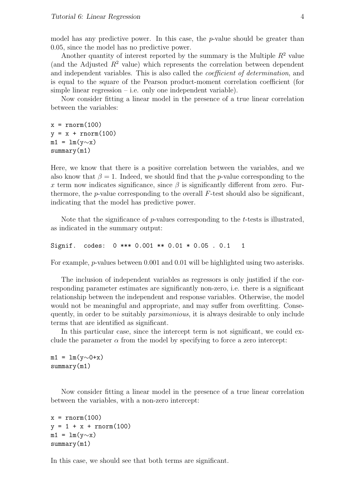model has any predictive power. In this case, the  $p$ -value should be greater than 0.05, since the model has no predictive power.

Another quantity of interest reported by the summary is the Multiple  $R^2$  value (and the Adjusted  $R^2$  value) which represents the correlation between dependent and independent variables. This is also called the *coefficient of determination*, and is equal to the square of the Pearson product-moment correlation coefficient (for simple linear regression – i.e. only one independent variable).

Now consider fitting a linear model in the presence of a true linear correlation between the variables:

 $x = rnorm(100)$  $y = x + rnorm(100)$  $m1 = lm(y \sim x)$ summary(m1)

Here, we know that there is a positive correlation between the variables, and we also know that  $\beta = 1$ . Indeed, we should find that the *p*-value corresponding to the x term now indicates significance, since  $\beta$  is significantly different from zero. Furthermore, the *p*-value corresponding to the overall  $F$ -test should also be significant, indicating that the model has predictive power.

Note that the significance of  $p$ -values corresponding to the  $t$ -tests is illustrated, as indicated in the summary output:

```
Signif. codes: 0 *** 0.001 ** 0.01 * 0.05 . 0.1 1
```
For example, p-values between 0.001 and 0.01 will be highlighted using two asterisks.

The inclusion of independent variables as regressors is only justified if the corresponding parameter estimates are significantly non-zero, i.e. there is a significant relationship between the independent and response variables. Otherwise, the model would not be meaningful and appropriate, and may suffer from overfitting. Consequently, in order to be suitably parsimonious, it is always desirable to only include terms that are identified as significant.

In this particular case, since the intercept term is not significant, we could exclude the parameter  $\alpha$  from the model by specifying to force a zero intercept:

 $m1 = \text{lm}(y \sim 0+x)$ summary(m1)

Now consider fitting a linear model in the presence of a true linear correlation between the variables, with a non-zero intercept:

```
x = rnorm(100)y = 1 + x + \text{rnorm}(100)m1 = \text{lm}(y \sim x)summary(m1)
```
In this case, we should see that both terms are significant.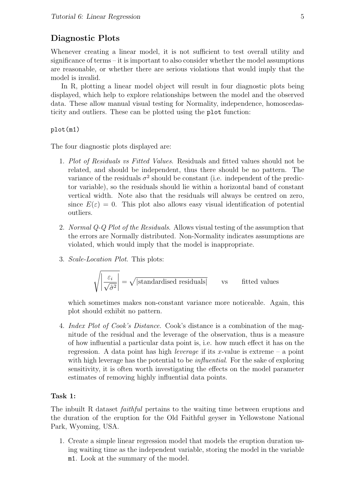#### Diagnostic Plots

Whenever creating a linear model, it is not sufficient to test overall utility and significance of terms – it is important to also consider whether the model assumptions are reasonable, or whether there are serious violations that would imply that the model is invalid.

In R, plotting a linear model object will result in four diagnostic plots being displayed, which help to explore relationships between the model and the observed data. These allow manual visual testing for Normality, independence, homoscedasticity and outliers. These can be plotted using the plot function:

plot(m1)

The four diagnostic plots displayed are:

- 1. Plot of Residuals vs Fitted Values. Residuals and fitted values should not be related, and should be independent, thus there should be no pattern. The variance of the residuals  $\sigma^2$  should be constant (i.e. independent of the predictor variable), so the residuals should lie within a horizontal band of constant vertical width. Note also that the residuals will always be centred on zero, since  $E(\varepsilon) = 0$ . This plot also allows easy visual identification of potential outliers.
- 2. Normal Q-Q Plot of the Residuals. Allows visual testing of the assumption that the errors are Normally distributed. Non-Normality indicates assumptions are violated, which would imply that the model is inappropriate.
- 3. Scale-Location Plot. This plots:

$$
\sqrt{\left|\frac{\varepsilon_i}{\sqrt{\hat{\sigma}^2}}\right|} = \sqrt{|\text{standardised residuals}|} \qquad \text{vs} \qquad \text{fitted values}
$$

which sometimes makes non-constant variance more noticeable. Again, this plot should exhibit no pattern.

4. Index Plot of Cook's Distance. Cook's distance is a combination of the magnitude of the residual and the leverage of the observation, thus is a measure of how influential a particular data point is, i.e. how much effect it has on the regression. A data point has high *leverage* if its x-value is extreme – a point with high leverage has the potential to be *influential*. For the sake of exploring sensitivity, it is often worth investigating the effects on the model parameter estimates of removing highly influential data points.

#### Task 1:

The inbuilt R dataset *faithful* pertains to the waiting time between eruptions and the duration of the eruption for the Old Faithful geyser in Yellowstone National Park, Wyoming, USA.

1. Create a simple linear regression model that models the eruption duration using waiting time as the independent variable, storing the model in the variable m1. Look at the summary of the model.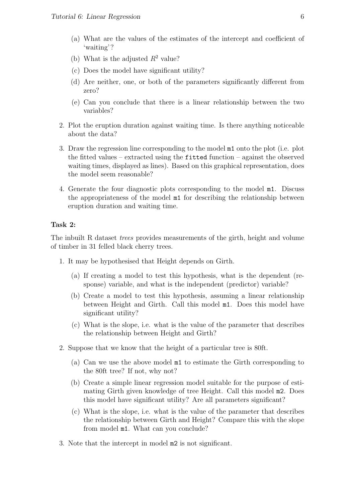- (a) What are the values of the estimates of the intercept and coefficient of 'waiting'?
- (b) What is the adjusted  $R^2$  value?
- (c) Does the model have significant utility?
- (d) Are neither, one, or both of the parameters significantly different from zero?
- (e) Can you conclude that there is a linear relationship between the two variables?
- 2. Plot the eruption duration against waiting time. Is there anything noticeable about the data?
- 3. Draw the regression line corresponding to the model m1 onto the plot (i.e. plot the fitted values – extracted using the fitted function – against the observed waiting times, displayed as lines). Based on this graphical representation, does the model seem reasonable?
- 4. Generate the four diagnostic plots corresponding to the model m1. Discuss the appropriateness of the model m1 for describing the relationship between eruption duration and waiting time.

#### Task 2:

The inbuilt R dataset *trees* provides measurements of the girth, height and volume of timber in 31 felled black cherry trees.

- 1. It may be hypothesised that Height depends on Girth.
	- (a) If creating a model to test this hypothesis, what is the dependent (response) variable, and what is the independent (predictor) variable?
	- (b) Create a model to test this hypothesis, assuming a linear relationship between Height and Girth. Call this model m1. Does this model have significant utility?
	- (c) What is the slope, i.e. what is the value of the parameter that describes the relationship between Height and Girth?
- 2. Suppose that we know that the height of a particular tree is 80ft.
	- (a) Can we use the above model m1 to estimate the Girth corresponding to the 80ft tree? If not, why not?
	- (b) Create a simple linear regression model suitable for the purpose of estimating Girth given knowledge of tree Height. Call this model m2. Does this model have significant utility? Are all parameters significant?
	- (c) What is the slope, i.e. what is the value of the parameter that describes the relationship between Girth and Height? Compare this with the slope from model m1. What can you conclude?
- 3. Note that the intercept in model m2 is not significant.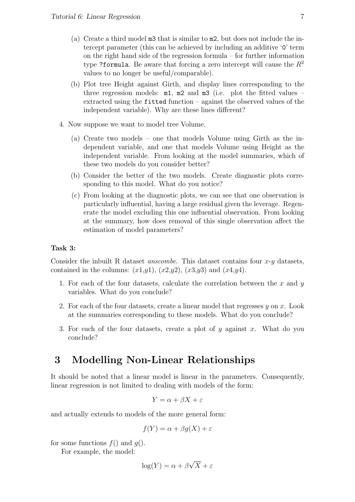- (a) Create a third model m3 that is similar to m2, but does not include the intercept parameter (this can be achieved by including an additive '0' term on the right hand side of the regression formula – for further information type ?formula. Be aware that forcing a zero intercept will cause the  $R^2$ values to no longer be useful/comparable).
- (b) Plot tree Height against Girth, and display lines corresponding to the three regression models:  $m1$ ,  $m2$  and  $m3$  (i.e. plot the fitted values – extracted using the fitted function – against the observed values of the independent variable). Why are these lines different?
- 4. Now suppose we want to model tree Volume.
	- (a) Create two models one that models Volume using Girth as the independent variable, and one that models Volume using Height as the independent variable. From looking at the model summaries, which of these two models do you consider better?
	- (b) Consider the better of the two models. Create diagnostic plots corresponding to this model. What do you notice?
	- (c) From looking at the diagnostic plots, we can see that one observation is particularly influential, having a large residual given the leverage. Regenerate the model excluding this one influential observation. From looking at the summary, how does removal of this single observation affect the estimation of model parameters?

#### Task 3:

Consider the inbuilt R dataset *anscombe*. This dataset contains four  $x-y$  datasets, contained in the columns:  $(x1,y1)$ ,  $(x2,y2)$ ,  $(x3,y3)$  and  $(x4,y4)$ .

- 1. For each of the four datasets, calculate the correlation between the  $x$  and  $y$ variables. What do you conclude?
- 2. For each of the four datasets, create a linear model that regresses  $y$  on  $x$ . Look at the summaries corresponding to these models. What do you conclude?
- 3. For each of the four datasets, create a plot of y against x. What do you conclude?

### 3 Modelling Non-Linear Relationships

It should be noted that a linear model is linear in the parameters. Consequently, linear regression is not limited to dealing with models of the form:

$$
Y = \alpha + \beta X + \varepsilon
$$

and actually extends to models of the more general form:

$$
f(Y) = \alpha + \beta g(X) + \varepsilon
$$

for some functions  $f()$  and  $g()$ .

For example, the model:

$$
\log(Y) = \alpha + \beta \sqrt{X} + \varepsilon
$$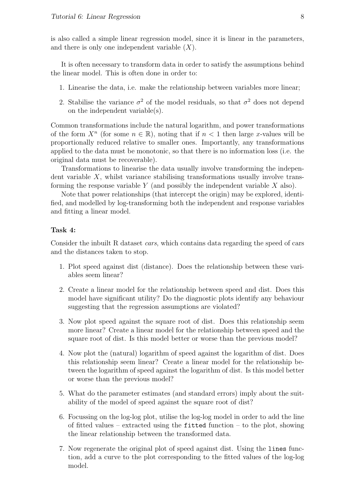is also called a simple linear regression model, since it is linear in the parameters, and there is only one independent variable  $(X)$ .

It is often necessary to transform data in order to satisfy the assumptions behind the linear model. This is often done in order to:

- 1. Linearise the data, i.e. make the relationship between variables more linear;
- 2. Stabilise the variance  $\sigma^2$  of the model residuals, so that  $\sigma^2$  does not depend on the independent variable(s).

Common transformations include the natural logarithm, and power transformations of the form  $X^n$  (for some  $n \in \mathbb{R}$ ), noting that if  $n < 1$  then large x-values will be proportionally reduced relative to smaller ones. Importantly, any transformations applied to the data must be monotonic, so that there is no information loss (i.e. the original data must be recoverable).

Transformations to linearise the data usually involve transforming the independent variable  $X$ , whilst variance stabilising transformations usually involve transforming the response variable Y (and possibly the independent variable  $X$  also).

Note that power relationships (that intercept the origin) may be explored, identified, and modelled by log-transforming both the independent and response variables and fitting a linear model.

#### Task 4:

Consider the inbuilt R dataset cars, which contains data regarding the speed of cars and the distances taken to stop.

- 1. Plot speed against dist (distance). Does the relationship between these variables seem linear?
- 2. Create a linear model for the relationship between speed and dist. Does this model have significant utility? Do the diagnostic plots identify any behaviour suggesting that the regression assumptions are violated?
- 3. Now plot speed against the square root of dist. Does this relationship seem more linear? Create a linear model for the relationship between speed and the square root of dist. Is this model better or worse than the previous model?
- 4. Now plot the (natural) logarithm of speed against the logarithm of dist. Does this relationship seem linear? Create a linear model for the relationship between the logarithm of speed against the logarithm of dist. Is this model better or worse than the previous model?
- 5. What do the parameter estimates (and standard errors) imply about the suitability of the model of speed against the square root of dist?
- 6. Focussing on the log-log plot, utilise the log-log model in order to add the line of fitted values – extracted using the fitted function – to the plot, showing the linear relationship between the transformed data.
- 7. Now regenerate the original plot of speed against dist. Using the lines function, add a curve to the plot corresponding to the fitted values of the log-log model.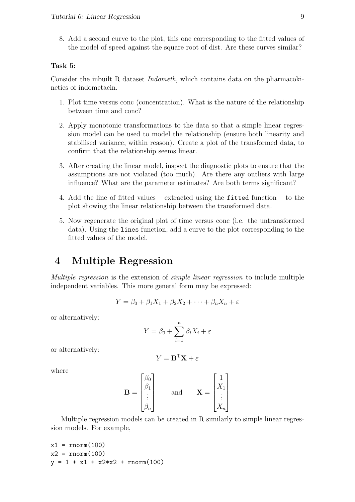8. Add a second curve to the plot, this one corresponding to the fitted values of the model of speed against the square root of dist. Are these curves similar?

#### Task 5:

Consider the inbuilt R dataset Indometh, which contains data on the pharmacokinetics of indometacin.

- 1. Plot time versus conc (concentration). What is the nature of the relationship between time and conc?
- 2. Apply monotonic transformations to the data so that a simple linear regression model can be used to model the relationship (ensure both linearity and stabilised variance, within reason). Create a plot of the transformed data, to confirm that the relationship seems linear.
- 3. After creating the linear model, inspect the diagnostic plots to ensure that the assumptions are not violated (too much). Are there any outliers with large influence? What are the parameter estimates? Are both terms significant?
- 4. Add the line of fitted values extracted using the fitted function to the plot showing the linear relationship between the transformed data.
- 5. Now regenerate the original plot of time versus conc (i.e. the untransformed data). Using the lines function, add a curve to the plot corresponding to the fitted values of the model.

### 4 Multiple Regression

Multiple regression is the extension of simple linear regression to include multiple independent variables. This more general form may be expressed:

$$
Y = \beta_0 + \beta_1 X_1 + \beta_2 X_2 + \dots + \beta_n X_n + \varepsilon
$$

or alternatively:

$$
Y = \beta_0 + \sum_{i=1}^{n} \beta_i X_i + \varepsilon
$$

or alternatively:

$$
Y = \mathbf{B}^{\mathrm{T}} \mathbf{X} + \varepsilon
$$

where

$$
\mathbf{B} = \begin{bmatrix} \beta_0 \\ \beta_1 \\ \vdots \\ \beta_n \end{bmatrix} \quad \text{and} \quad \mathbf{X} = \begin{bmatrix} 1 \\ X_1 \\ \vdots \\ X_n \end{bmatrix}
$$

Multiple regression models can be created in R similarly to simple linear regression models. For example,

$$
x1 = \text{rnorm}(100)
$$
  
 $x2 = \text{rnorm}(100)$   
 $y = 1 + x1 + x2*x2 + \text{rnorm}(100)$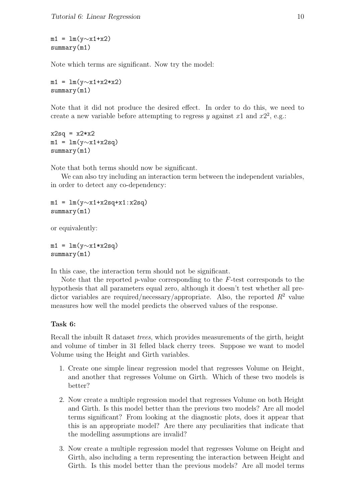$m1 = \ln(y \sim x1+x2)$ summary(m1)

Note which terms are significant. Now try the model:

m1 = lm(y $\sim$ x1+x2\*x2) summary(m1)

Note that it did not produce the desired effect. In order to do this, we need to create a new variable before attempting to regress y against x1 and  $x2^2$ , e.g.:

 $x2sq = x2*x2$  $m1 = \text{lm}(y \sim x1+x2sq)$ summary(m1)

Note that both terms should now be significant.

We can also try including an interaction term between the independent variables, in order to detect any co-dependency:

 $m1 = \text{lm}(y \sim x1+x2sq+x1:x2sq)$ summary(m1)

or equivalently:

 $m1 = \text{lm}(y \sim x1*x2sq)$ summary(m1)

In this case, the interaction term should not be significant.

Note that the reported p-value corresponding to the  $F$ -test corresponds to the hypothesis that all parameters equal zero, although it doesn't test whether all predictor variables are required/necessary/appropriate. Also, the reported  $R^2$  value measures how well the model predicts the observed values of the response.

#### Task 6:

Recall the inbuilt R dataset trees, which provides measurements of the girth, height and volume of timber in 31 felled black cherry trees. Suppose we want to model Volume using the Height and Girth variables.

- 1. Create one simple linear regression model that regresses Volume on Height, and another that regresses Volume on Girth. Which of these two models is better?
- 2. Now create a multiple regression model that regresses Volume on both Height and Girth. Is this model better than the previous two models? Are all model terms significant? From looking at the diagnostic plots, does it appear that this is an appropriate model? Are there any peculiarities that indicate that the modelling assumptions are invalid?
- 3. Now create a multiple regression model that regresses Volume on Height and Girth, also including a term representing the interaction between Height and Girth. Is this model better than the previous models? Are all model terms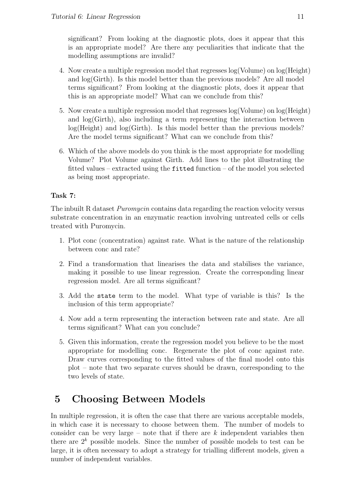significant? From looking at the diagnostic plots, does it appear that this is an appropriate model? Are there any peculiarities that indicate that the modelling assumptions are invalid?

- 4. Now create a multiple regression model that regresses log(Volume) on log(Height) and log(Girth). Is this model better than the previous models? Are all model terms significant? From looking at the diagnostic plots, does it appear that this is an appropriate model? What can we conclude from this?
- 5. Now create a multiple regression model that regresses log(Volume) on log(Height) and  $log(Girth)$ , also including a term representing the interaction between  $log(Height)$  and  $log(Girth)$ . Is this model better than the previous models? Are the model terms significant? What can we conclude from this?
- 6. Which of the above models do you think is the most appropriate for modelling Volume? Plot Volume against Girth. Add lines to the plot illustrating the fitted values – extracted using the fitted function – of the model you selected as being most appropriate.

### Task 7:

The inbuilt R dataset *Puromycin* contains data regarding the reaction velocity versus substrate concentration in an enzymatic reaction involving untreated cells or cells treated with Puromycin.

- 1. Plot conc (concentration) against rate. What is the nature of the relationship between conc and rate?
- 2. Find a transformation that linearises the data and stabilises the variance, making it possible to use linear regression. Create the corresponding linear regression model. Are all terms significant?
- 3. Add the state term to the model. What type of variable is this? Is the inclusion of this term appropriate?
- 4. Now add a term representing the interaction between rate and state. Are all terms significant? What can you conclude?
- 5. Given this information, create the regression model you believe to be the most appropriate for modelling conc. Regenerate the plot of conc against rate. Draw curves corresponding to the fitted values of the final model onto this plot – note that two separate curves should be drawn, corresponding to the two levels of state.

## 5 Choosing Between Models

In multiple regression, it is often the case that there are various acceptable models, in which case it is necessary to choose between them. The number of models to consider can be very large – note that if there are  $k$  independent variables then there are  $2^k$  possible models. Since the number of possible models to test can be large, it is often necessary to adopt a strategy for trialling different models, given a number of independent variables.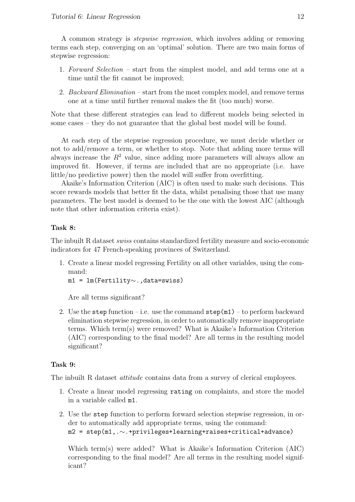A common strategy is stepwise regression, which involves adding or removing terms each step, converging on an 'optimal' solution. There are two main forms of stepwise regression:

- 1. Forward Selection start from the simplest model, and add terms one at a time until the fit cannot be improved;
- 2. Backward Elimination start from the most complex model, and remove terms one at a time until further removal makes the fit (too much) worse.

Note that these different strategies can lead to different models being selected in some cases – they do not guarantee that the global best model will be found.

At each step of the stepwise regression procedure, we must decide whether or not to add/remove a term, or whether to stop. Note that adding more terms will always increase the  $R^2$  value, since adding more parameters will always allow an improved fit. However, if terms are included that are no appropriate (i.e. have little/no predictive power) then the model will suffer from overfitting.

Akaike's Information Criterion (AIC) is often used to make such decisions. This score rewards models that better fit the data, whilst penalising those that use many parameters. The best model is deemed to be the one with the lowest AIC (although note that other information criteria exist).

#### Task 8:

The inbuilt R dataset swiss contains standardized fertility measure and socio-economic indicators for 47 French-speaking provinces of Switzerland.

1. Create a linear model regressing Fertility on all other variables, using the command:

m1 = lm(Fertility∼.,data=swiss)

Are all terms significant?

2. Use the step function – i.e. use the command  $\text{step}(m1)$  – to perform backward elimination stepwise regression, in order to automatically remove inappropriate terms. Which term(s) were removed? What is Akaike's Information Criterion (AIC) corresponding to the final model? Are all terms in the resulting model significant?

#### Task 9:

The inbuilt R dataset *attitude* contains data from a survey of clerical employees.

- 1. Create a linear model regressing rating on complaints, and store the model in a variable called m1.
- 2. Use the step function to perform forward selection stepwise regression, in order to automatically add appropriate terms, using the command: m2 = step(m1,.∼.+privileges+learning+raises+critical+advance)

Which term(s) were added? What is Akaike's Information Criterion (AIC) corresponding to the final model? Are all terms in the resulting model significant?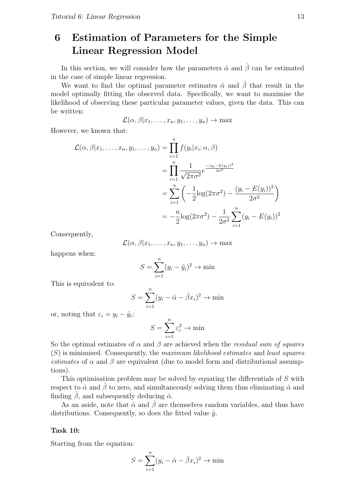## 6 Estimation of Parameters for the Simple Linear Regression Model

In this section, we will consider how the parameters  $\hat{\alpha}$  and  $\hat{\beta}$  can be estimated in the case of simple linear regression.

We want to find the optimal parameter estimates  $\hat{\alpha}$  and  $\hat{\beta}$  that result in the model optimally fitting the observed data. Specifically, we want to maximise the likelihood of observing these particular parameter values, given the data. This can be written:

$$
\mathcal{L}(\alpha,\beta|x_1,\ldots,x_n,y_1,\ldots,y_n)\to\max
$$

However, we known that:

$$
\mathcal{L}(\alpha, \beta | x_1, \dots, x_n, y_1, \dots, y_n) = \prod_{i=1}^n f(y_i | x_i; \alpha, \beta)
$$
  
= 
$$
\prod_{i=1}^n \frac{1}{\sqrt{2\pi\sigma^2}} e^{\frac{-(y_i - E(y_i))^2}{2\sigma^2}}
$$
  
= 
$$
\sum_{i=1}^n \left( -\frac{1}{2} \log(2\pi\sigma^2) - \frac{(y_i - E(y_i))^2}{2\sigma^2} \right)
$$
  
= 
$$
-\frac{n}{2} \log(2\pi\sigma^2) - \frac{1}{2\sigma^2} \sum_{i=1}^n (y_i - E(y_i))^2
$$

Consequently,

$$
\mathcal{L}(\alpha,\beta|x_1,\ldots,x_n,y_1,\ldots,y_n)\to\max
$$

happens when:

$$
S = \sum_{i=1}^{n} (y_i - \hat{y}_i)^2 \to \min
$$

This is equivalent to:

$$
S = \sum_{i=1}^{n} (y_i - \hat{\alpha} - \hat{\beta}x_i)^2 \to \min
$$

or, noting that  $\varepsilon_i = y_i - \hat{y}_i$ :

$$
S = \sum_{i=1}^{n} \varepsilon_i^2 \to \min
$$

So the optimal estimates of  $\alpha$  and  $\beta$  are achieved when the *residual sum of squares*  $(S)$  is minimised. Consequently, the maximum likelihood estimates and least squares estimates of  $\alpha$  and  $\beta$  are equivalent (due to model form and distributional assumptions).

This optimisation problem may be solved by equating the differentials of S with respect to  $\hat{\alpha}$  and  $\hat{\beta}$  to zero, and simultaneously solving them thus eliminating  $\hat{\alpha}$  and finding  $\hat{\beta}$ , and subsequently deducing  $\hat{\alpha}$ .

As an aside, note that  $\hat{\alpha}$  and  $\hat{\beta}$  are themselves random variables, and thus have distributions. Consequently, so does the fitted value  $\hat{y}$ .

#### Task 10:

Starting from the equation:

$$
S = \sum_{i=1}^{n} (y_i - \hat{\alpha} - \hat{\beta}x_i)^2 \to \min
$$